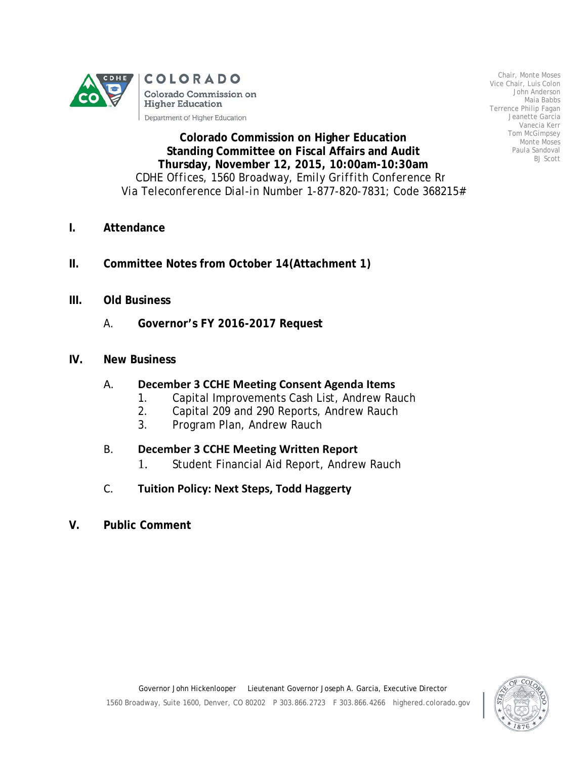

Chair, Monte Moses Vice Chair, Luis Colon John Anderson Maia Babbs Terrence Philip Fagan Jeanette Garcia Vanecia Kerr Tom McGimpsey Monte Moses Paula Sandoval BJ Scott

**Colorado Commission on Higher Education Standing Committee on Fiscal Affairs and Audit Thursday, November 12, 2015, 10:00am-10:30am** *CDHE Offices, 1560 Broadway, Emily Griffith Conference Rm Via Teleconference Dial-in Number 1-877-820-7831; Code 368215#*

- **I. Attendance**
- **II. Committee Notes from October 14(Attachment 1)**
- **III. Old Business**
	- A. **Governor's FY 2016-2017 Request**
- **IV. New Business**

## A. **December 3 CCHE Meeting Consent Agenda Items**

- 1. Capital Improvements Cash List, Andrew Rauch
- 2. Capital 209 and 290 Reports, Andrew Rauch
- 3. Program Plan, Andrew Rauch

## B. **December 3 CCHE Meeting Written Report**

1. Student Financial Aid Report, Andrew Rauch

## C. **Tuition Policy: Next Steps, Todd Haggerty**

**V. Public Comment**

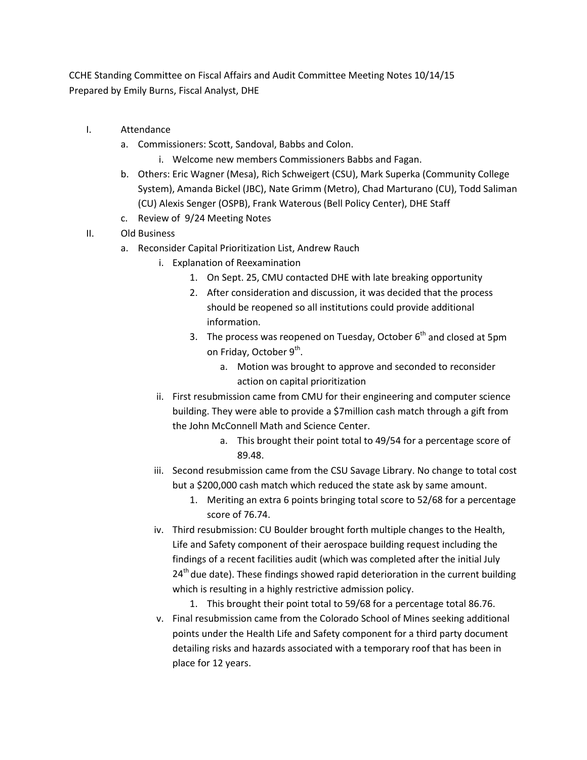CCHE Standing Committee on Fiscal Affairs and Audit Committee Meeting Notes 10/14/15 Prepared by Emily Burns, Fiscal Analyst, DHE

- I. Attendance
	- a. Commissioners: Scott, Sandoval, Babbs and Colon.
		- i. Welcome new members Commissioners Babbs and Fagan.
	- b. Others: Eric Wagner (Mesa), Rich Schweigert (CSU), Mark Superka (Community College System), Amanda Bickel (JBC), Nate Grimm (Metro), Chad Marturano (CU), Todd Saliman (CU) Alexis Senger (OSPB), Frank Waterous (Bell Policy Center), DHE Staff
	- c. Review of 9/24 Meeting Notes
- II. Old Business
	- a. Reconsider Capital Prioritization List, Andrew Rauch
		- i. Explanation of Reexamination
			- 1. On Sept. 25, CMU contacted DHE with late breaking opportunity
			- 2. After consideration and discussion, it was decided that the process should be reopened so all institutions could provide additional information.
			- 3. The process was reopened on Tuesday, October  $6<sup>th</sup>$  and closed at 5pm on Friday, October 9<sup>th</sup>.
				- a. Motion was brought to approve and seconded to reconsider action on capital prioritization
		- ii. First resubmission came from CMU for their engineering and computer science building. They were able to provide a \$7million cash match through a gift from the John McConnell Math and Science Center.
			- a. This brought their point total to 49/54 for a percentage score of 89.48.
		- iii. Second resubmission came from the CSU Savage Library. No change to total cost but a \$200,000 cash match which reduced the state ask by same amount.
			- 1. Meriting an extra 6 points bringing total score to 52/68 for a percentage score of 76.74.
		- iv. Third resubmission: CU Boulder brought forth multiple changes to the Health, Life and Safety component of their aerospace building request including the findings of a recent facilities audit (which was completed after the initial July  $24<sup>th</sup>$  due date). These findings showed rapid deterioration in the current building which is resulting in a highly restrictive admission policy.
			- 1. This brought their point total to 59/68 for a percentage total 86.76.
		- v. Final resubmission came from the Colorado School of Mines seeking additional points under the Health Life and Safety component for a third party document detailing risks and hazards associated with a temporary roof that has been in place for 12 years.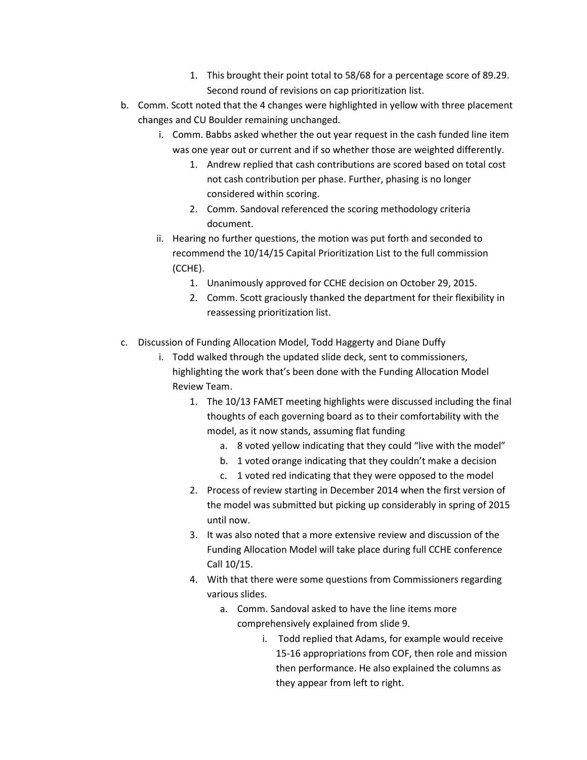- 1. This brought their point total to 58/68 for a percentage score of 89.29. Second round of revisions on cap prioritization list.
- b. Comm. Scott noted that the 4 changes were highlighted in yellow with three placement changes and CU Boulder remaining unchanged.
	- i. Comm. Babbs asked whether the out year request in the cash funded line item was one year out or current and if so whether those are weighted differently.
		- 1. Andrew replied that cash contributions are scored based on total cost not cash contribution per phase. Further, phasing is no longer considered within scoring.
		- 2. Comm. Sandoval referenced the scoring methodology criteria document.
	- ii. Hearing no further questions, the motion was put forth and seconded to recommend the 10/14/15 Capital Prioritization List to the full commission (CCHE).
		- 1. Unanimously approved for CCHE decision on October 29, 2015.
		- 2. Comm. Scott graciously thanked the department for their flexibility in reassessing prioritization list.
- c. Discussion of Funding Allocation Model, Todd Haggerty and Diane Duffy
	- i. Todd walked through the updated slide deck, sent to commissioners, highlighting the work that's been done with the Funding Allocation Model Review Team.
		- 1. The 10/13 FAMET meeting highlights were discussed including the final thoughts of each governing board as to their comfortability with the model, as it now stands, assuming flat funding
			- a. 8 voted yellow indicating that they could "live with the model"
			- b. 1 voted orange indicating that they couldn't make a decision
			- c. 1 voted red indicating that they were opposed to the model
		- 2. Process of review starting in December 2014 when the first version of the model was submitted but picking up considerably in spring of 2015 until now.
		- 3. It was also noted that a more extensive review and discussion of the Funding Allocation Model will take place during full CCHE conference Call 10/15.
		- 4. With that there were some questions from Commissioners regarding various slides.
			- a. Comm. Sandoval asked to have the line items more comprehensively explained from slide 9.
				- i. Todd replied that Adams, for example would receive 15-16 appropriations from COF, then role and mission then performance. He also explained the columns as they appear from left to right.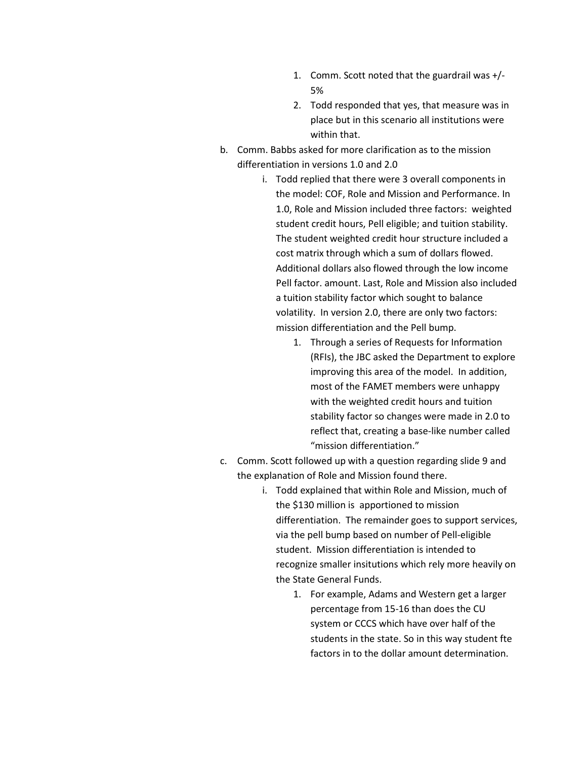- 1. Comm. Scott noted that the guardrail was +/- 5%
- 2. Todd responded that yes, that measure was in place but in this scenario all institutions were within that.
- b. Comm. Babbs asked for more clarification as to the mission differentiation in versions 1.0 and 2.0
	- i. Todd replied that there were 3 overall components in the model: COF, Role and Mission and Performance. In 1.0, Role and Mission included three factors: weighted student credit hours, Pell eligible; and tuition stability. The student weighted credit hour structure included a cost matrix through which a sum of dollars flowed. Additional dollars also flowed through the low income Pell factor. amount. Last, Role and Mission also included a tuition stability factor which sought to balance volatility. In version 2.0, there are only two factors: mission differentiation and the Pell bump.
		- 1. Through a series of Requests for Information (RFIs), the JBC asked the Department to explore improving this area of the model. In addition, most of the FAMET members were unhappy with the weighted credit hours and tuition stability factor so changes were made in 2.0 to reflect that, creating a base-like number called "mission differentiation."
- c. Comm. Scott followed up with a question regarding slide 9 and the explanation of Role and Mission found there.
	- i. Todd explained that within Role and Mission, much of the \$130 million is apportioned to mission differentiation. The remainder goes to support services, via the pell bump based on number of Pell-eligible student. Mission differentiation is intended to recognize smaller insitutions which rely more heavily on the State General Funds.
		- 1. For example, Adams and Western get a larger percentage from 15-16 than does the CU system or CCCS which have over half of the students in the state. So in this way student fte factors in to the dollar amount determination.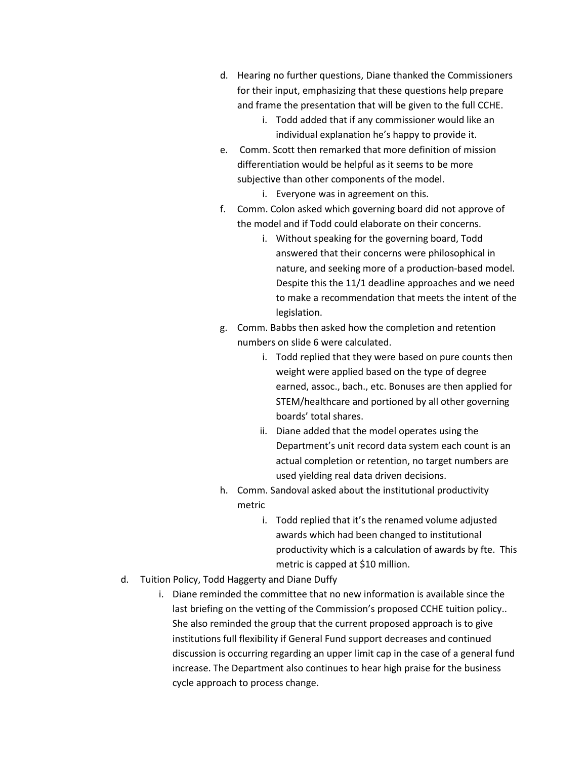- d. Hearing no further questions, Diane thanked the Commissioners for their input, emphasizing that these questions help prepare and frame the presentation that will be given to the full CCHE.
	- i. Todd added that if any commissioner would like an individual explanation he's happy to provide it.
- e. Comm. Scott then remarked that more definition of mission differentiation would be helpful as it seems to be more subjective than other components of the model.
	- i. Everyone was in agreement on this.
- f. Comm. Colon asked which governing board did not approve of the model and if Todd could elaborate on their concerns.
	- i. Without speaking for the governing board, Todd answered that their concerns were philosophical in nature, and seeking more of a production-based model. Despite this the 11/1 deadline approaches and we need to make a recommendation that meets the intent of the legislation.
- g. Comm. Babbs then asked how the completion and retention numbers on slide 6 were calculated.
	- i. Todd replied that they were based on pure counts then weight were applied based on the type of degree earned, assoc., bach., etc. Bonuses are then applied for STEM/healthcare and portioned by all other governing boards' total shares.
	- ii. Diane added that the model operates using the Department's unit record data system each count is an actual completion or retention, no target numbers are used yielding real data driven decisions.
- h. Comm. Sandoval asked about the institutional productivity metric
	- i. Todd replied that it's the renamed volume adjusted awards which had been changed to institutional productivity which is a calculation of awards by fte. This metric is capped at \$10 million.
- d. Tuition Policy, Todd Haggerty and Diane Duffy
	- i. Diane reminded the committee that no new information is available since the last briefing on the vetting of the Commission's proposed CCHE tuition policy.. She also reminded the group that the current proposed approach is to give institutions full flexibility if General Fund support decreases and continued discussion is occurring regarding an upper limit cap in the case of a general fund increase. The Department also continues to hear high praise for the business cycle approach to process change.